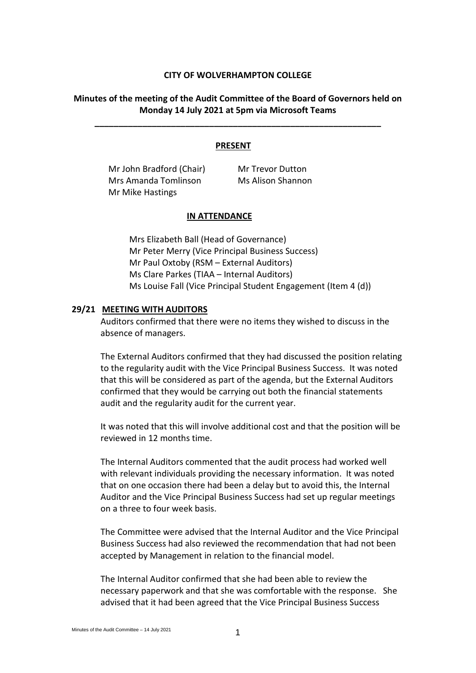#### **CITY OF WOLVERHAMPTON COLLEGE**

## **Minutes of the meeting of the Audit Committee of the Board of Governors held on Monday 14 July 2021 at 5pm via Microsoft Teams**

**\_\_\_\_\_\_\_\_\_\_\_\_\_\_\_\_\_\_\_\_\_\_\_\_\_\_\_\_\_\_\_\_\_\_\_\_\_\_\_\_\_\_\_\_\_\_\_\_\_\_\_\_\_\_\_\_\_\_\_\_**

#### **PRESENT**

Mr John Bradford (Chair) Mr Trevor Dutton Mrs Amanda Tomlinson Mr Mike Hastings

Ms Alison Shannon

### **IN ATTENDANCE**

Mrs Elizabeth Ball (Head of Governance) Mr Peter Merry (Vice Principal Business Success) Mr Paul Oxtoby (RSM – External Auditors) Ms Clare Parkes (TIAA – Internal Auditors) Ms Louise Fall (Vice Principal Student Engagement (Item 4 (d))

#### **29/21 MEETING WITH AUDITORS**

Auditors confirmed that there were no items they wished to discuss in the absence of managers.

The External Auditors confirmed that they had discussed the position relating to the regularity audit with the Vice Principal Business Success. It was noted that this will be considered as part of the agenda, but the External Auditors confirmed that they would be carrying out both the financial statements audit and the regularity audit for the current year.

It was noted that this will involve additional cost and that the position will be reviewed in 12 months time.

The Internal Auditors commented that the audit process had worked well with relevant individuals providing the necessary information. It was noted that on one occasion there had been a delay but to avoid this, the Internal Auditor and the Vice Principal Business Success had set up regular meetings on a three to four week basis.

The Committee were advised that the Internal Auditor and the Vice Principal Business Success had also reviewed the recommendation that had not been accepted by Management in relation to the financial model.

The Internal Auditor confirmed that she had been able to review the necessary paperwork and that she was comfortable with the response. She advised that it had been agreed that the Vice Principal Business Success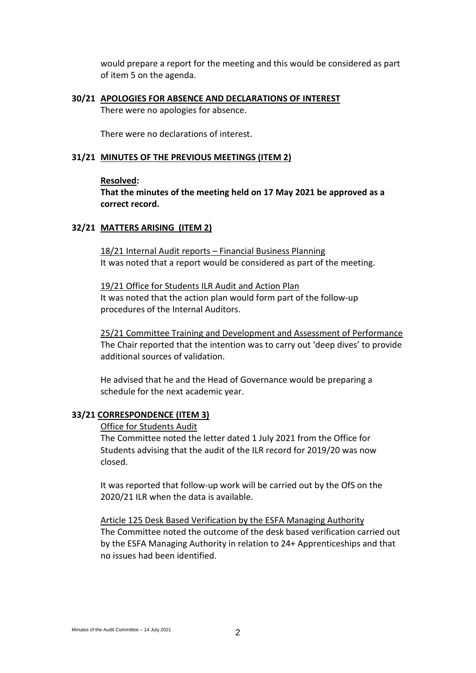would prepare a report for the meeting and this would be considered as part of item 5 on the agenda.

# **30/21 APOLOGIES FOR ABSENCE AND DECLARATIONS OF INTEREST**

There were no apologies for absence.

There were no declarations of interest.

# **31/21 MINUTES OF THE PREVIOUS MEETINGS (ITEM 2)**

## **Resolved:**

**That the minutes of the meeting held on 17 May 2021 be approved as a correct record.**

# **32/21 MATTERS ARISING (ITEM 2)**

18/21 Internal Audit reports – Financial Business Planning It was noted that a report would be considered as part of the meeting.

19/21 Office for Students ILR Audit and Action Plan It was noted that the action plan would form part of the follow-up procedures of the Internal Auditors.

25/21 Committee Training and Development and Assessment of Performance The Chair reported that the intention was to carry out 'deep dives' to provide additional sources of validation.

He advised that he and the Head of Governance would be preparing a schedule for the next academic year.

# **33/21 CORRESPONDENCE (ITEM 3)**

#### Office for Students Audit

The Committee noted the letter dated 1 July 2021 from the Office for Students advising that the audit of the ILR record for 2019/20 was now closed.

It was reported that follow-up work will be carried out by the OfS on the 2020/21 ILR when the data is available.

Article 125 Desk Based Verification by the ESFA Managing Authority The Committee noted the outcome of the desk based verification carried out by the ESFA Managing Authority in relation to 24+ Apprenticeships and that no issues had been identified.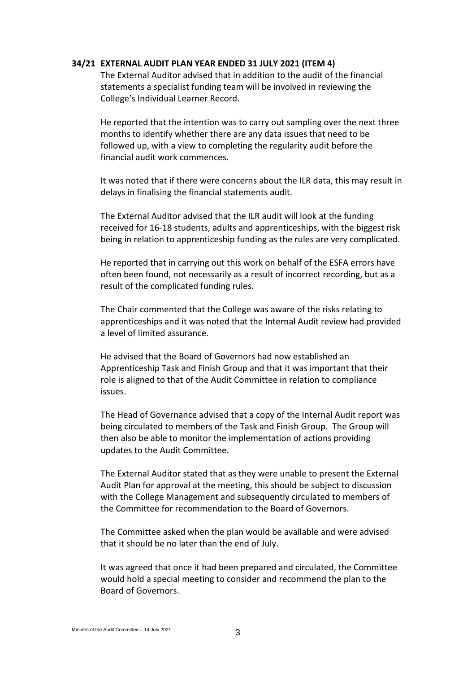### **34/21 EXTERNAL AUDIT PLAN YEAR ENDED 31 JULY 2021 (ITEM 4)**

The External Auditor advised that in addition to the audit of the financial statements a specialist funding team will be involved in reviewing the College's Individual Learner Record.

He reported that the intention was to carry out sampling over the next three months to identify whether there are any data issues that need to be followed up, with a view to completing the regularity audit before the financial audit work commences.

It was noted that if there were concerns about the ILR data, this may result in delays in finalising the financial statements audit.

The External Auditor advised that the ILR audit will look at the funding received for 16-18 students, adults and apprenticeships, with the biggest risk being in relation to apprenticeship funding as the rules are very complicated.

He reported that in carrying out this work on behalf of the ESFA errors have often been found, not necessarily as a result of incorrect recording, but as a result of the complicated funding rules.

The Chair commented that the College was aware of the risks relating to apprenticeships and it was noted that the Internal Audit review had provided a level of limited assurance.

He advised that the Board of Governors had now established an Apprenticeship Task and Finish Group and that it was important that their role is aligned to that of the Audit Committee in relation to compliance issues.

The Head of Governance advised that a copy of the Internal Audit report was being circulated to members of the Task and Finish Group. The Group will then also be able to monitor the implementation of actions providing updates to the Audit Committee.

The External Auditor stated that as they were unable to present the External Audit Plan for approval at the meeting, this should be subject to discussion with the College Management and subsequently circulated to members of the Committee for recommendation to the Board of Governors.

The Committee asked when the plan would be available and were advised that it should be no later than the end of July.

It was agreed that once it had been prepared and circulated, the Committee would hold a special meeting to consider and recommend the plan to the Board of Governors.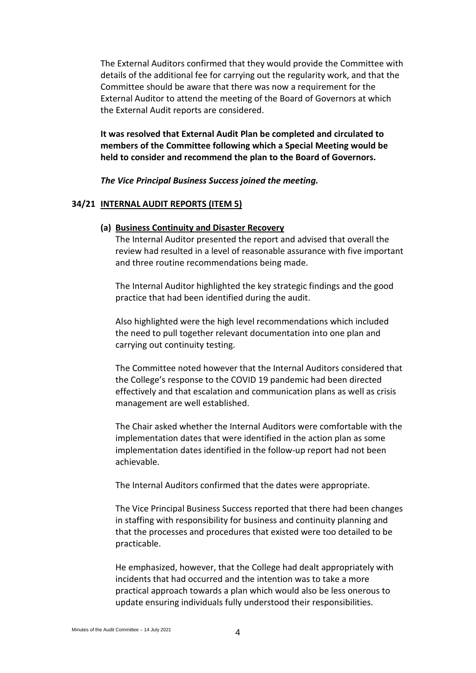The External Auditors confirmed that they would provide the Committee with details of the additional fee for carrying out the regularity work, and that the Committee should be aware that there was now a requirement for the External Auditor to attend the meeting of the Board of Governors at which the External Audit reports are considered.

**It was resolved that External Audit Plan be completed and circulated to members of the Committee following which a Special Meeting would be held to consider and recommend the plan to the Board of Governors.**

*The Vice Principal Business Success joined the meeting.*

#### **34/21 INTERNAL AUDIT REPORTS (ITEM 5)**

#### **(a) Business Continuity and Disaster Recovery**

The Internal Auditor presented the report and advised that overall the review had resulted in a level of reasonable assurance with five important and three routine recommendations being made.

The Internal Auditor highlighted the key strategic findings and the good practice that had been identified during the audit.

Also highlighted were the high level recommendations which included the need to pull together relevant documentation into one plan and carrying out continuity testing.

The Committee noted however that the Internal Auditors considered that the College's response to the COVID 19 pandemic had been directed effectively and that escalation and communication plans as well as crisis management are well established.

The Chair asked whether the Internal Auditors were comfortable with the implementation dates that were identified in the action plan as some implementation dates identified in the follow-up report had not been achievable.

The Internal Auditors confirmed that the dates were appropriate.

The Vice Principal Business Success reported that there had been changes in staffing with responsibility for business and continuity planning and that the processes and procedures that existed were too detailed to be practicable.

He emphasized, however, that the College had dealt appropriately with incidents that had occurred and the intention was to take a more practical approach towards a plan which would also be less onerous to update ensuring individuals fully understood their responsibilities.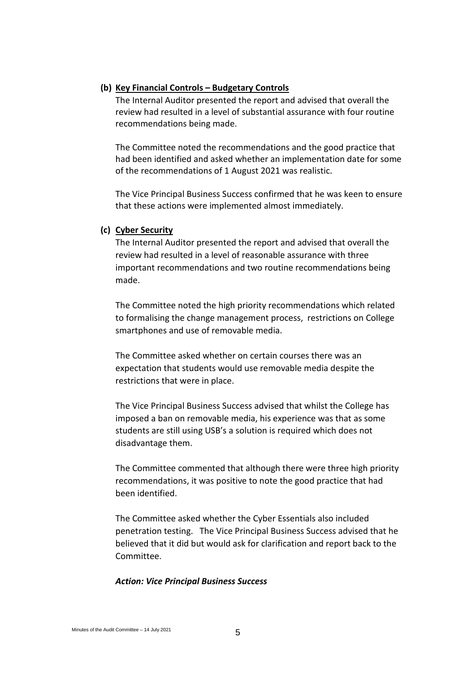# **(b) Key Financial Controls – Budgetary Controls**

The Internal Auditor presented the report and advised that overall the review had resulted in a level of substantial assurance with four routine recommendations being made.

The Committee noted the recommendations and the good practice that had been identified and asked whether an implementation date for some of the recommendations of 1 August 2021 was realistic.

The Vice Principal Business Success confirmed that he was keen to ensure that these actions were implemented almost immediately.

#### **(c) Cyber Security**

The Internal Auditor presented the report and advised that overall the review had resulted in a level of reasonable assurance with three important recommendations and two routine recommendations being made.

The Committee noted the high priority recommendations which related to formalising the change management process, restrictions on College smartphones and use of removable media.

The Committee asked whether on certain courses there was an expectation that students would use removable media despite the restrictions that were in place.

The Vice Principal Business Success advised that whilst the College has imposed a ban on removable media, his experience was that as some students are still using USB's a solution is required which does not disadvantage them.

The Committee commented that although there were three high priority recommendations, it was positive to note the good practice that had been identified.

The Committee asked whether the Cyber Essentials also included penetration testing. The Vice Principal Business Success advised that he believed that it did but would ask for clarification and report back to the Committee.

### *Action: Vice Principal Business Success*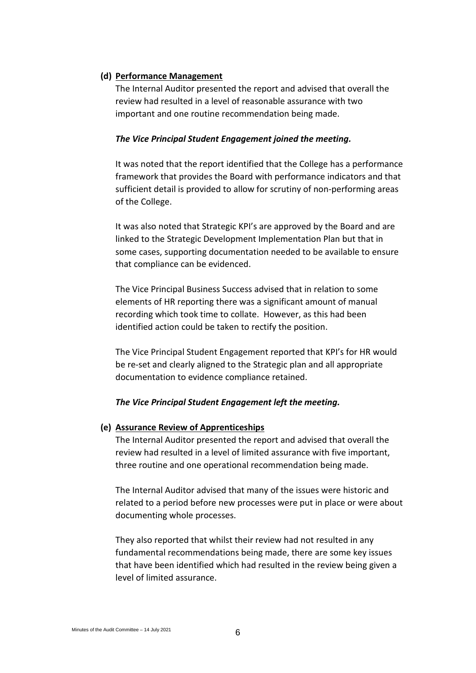# **(d) Performance Management**

The Internal Auditor presented the report and advised that overall the review had resulted in a level of reasonable assurance with two important and one routine recommendation being made.

# *The Vice Principal Student Engagement joined the meeting.*

It was noted that the report identified that the College has a performance framework that provides the Board with performance indicators and that sufficient detail is provided to allow for scrutiny of non-performing areas of the College.

It was also noted that Strategic KPI's are approved by the Board and are linked to the Strategic Development Implementation Plan but that in some cases, supporting documentation needed to be available to ensure that compliance can be evidenced.

The Vice Principal Business Success advised that in relation to some elements of HR reporting there was a significant amount of manual recording which took time to collate. However, as this had been identified action could be taken to rectify the position.

The Vice Principal Student Engagement reported that KPI's for HR would be re-set and clearly aligned to the Strategic plan and all appropriate documentation to evidence compliance retained.

# *The Vice Principal Student Engagement left the meeting.*

# **(e) Assurance Review of Apprenticeships**

The Internal Auditor presented the report and advised that overall the review had resulted in a level of limited assurance with five important, three routine and one operational recommendation being made.

The Internal Auditor advised that many of the issues were historic and related to a period before new processes were put in place or were about documenting whole processes.

They also reported that whilst their review had not resulted in any fundamental recommendations being made, there are some key issues that have been identified which had resulted in the review being given a level of limited assurance.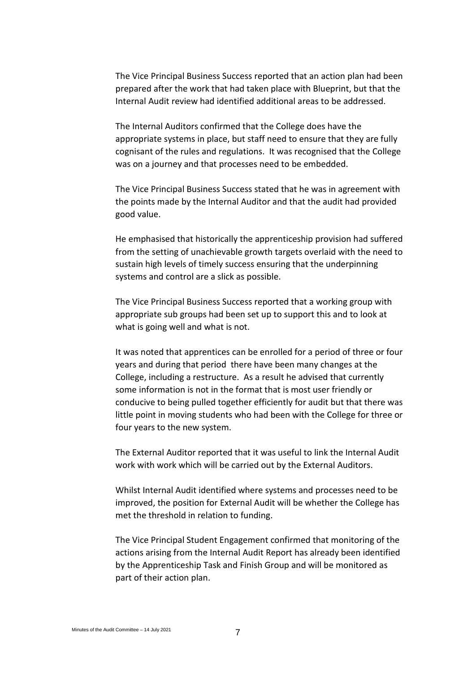The Vice Principal Business Success reported that an action plan had been prepared after the work that had taken place with Blueprint, but that the Internal Audit review had identified additional areas to be addressed.

The Internal Auditors confirmed that the College does have the appropriate systems in place, but staff need to ensure that they are fully cognisant of the rules and regulations. It was recognised that the College was on a journey and that processes need to be embedded.

The Vice Principal Business Success stated that he was in agreement with the points made by the Internal Auditor and that the audit had provided good value.

He emphasised that historically the apprenticeship provision had suffered from the setting of unachievable growth targets overlaid with the need to sustain high levels of timely success ensuring that the underpinning systems and control are a slick as possible.

The Vice Principal Business Success reported that a working group with appropriate sub groups had been set up to support this and to look at what is going well and what is not.

It was noted that apprentices can be enrolled for a period of three or four years and during that period there have been many changes at the College, including a restructure. As a result he advised that currently some information is not in the format that is most user friendly or conducive to being pulled together efficiently for audit but that there was little point in moving students who had been with the College for three or four years to the new system.

The External Auditor reported that it was useful to link the Internal Audit work with work which will be carried out by the External Auditors.

Whilst Internal Audit identified where systems and processes need to be improved, the position for External Audit will be whether the College has met the threshold in relation to funding.

The Vice Principal Student Engagement confirmed that monitoring of the actions arising from the Internal Audit Report has already been identified by the Apprenticeship Task and Finish Group and will be monitored as part of their action plan.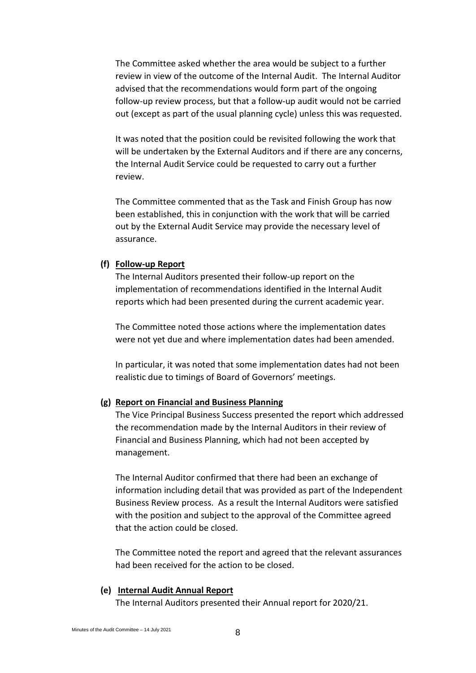The Committee asked whether the area would be subject to a further review in view of the outcome of the Internal Audit. The Internal Auditor advised that the recommendations would form part of the ongoing follow-up review process, but that a follow-up audit would not be carried out (except as part of the usual planning cycle) unless this was requested.

It was noted that the position could be revisited following the work that will be undertaken by the External Auditors and if there are any concerns, the Internal Audit Service could be requested to carry out a further review.

The Committee commented that as the Task and Finish Group has now been established, this in conjunction with the work that will be carried out by the External Audit Service may provide the necessary level of assurance.

## **(f) Follow-up Report**

The Internal Auditors presented their follow-up report on the implementation of recommendations identified in the Internal Audit reports which had been presented during the current academic year.

The Committee noted those actions where the implementation dates were not yet due and where implementation dates had been amended.

In particular, it was noted that some implementation dates had not been realistic due to timings of Board of Governors' meetings.

# **(g) Report on Financial and Business Planning**

The Vice Principal Business Success presented the report which addressed the recommendation made by the Internal Auditors in their review of Financial and Business Planning, which had not been accepted by management.

The Internal Auditor confirmed that there had been an exchange of information including detail that was provided as part of the Independent Business Review process. As a result the Internal Auditors were satisfied with the position and subject to the approval of the Committee agreed that the action could be closed.

The Committee noted the report and agreed that the relevant assurances had been received for the action to be closed.

# **(e) Internal Audit Annual Report**

The Internal Auditors presented their Annual report for 2020/21.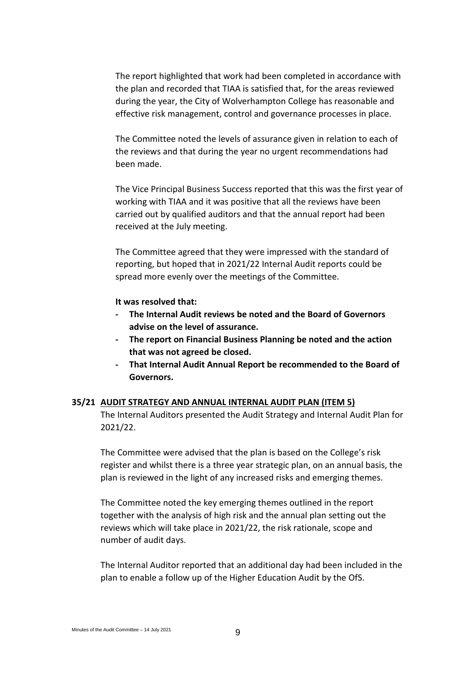The report highlighted that work had been completed in accordance with the plan and recorded that TIAA is satisfied that, for the areas reviewed during the year, the City of Wolverhampton College has reasonable and effective risk management, control and governance processes in place.

The Committee noted the levels of assurance given in relation to each of the reviews and that during the year no urgent recommendations had been made.

The Vice Principal Business Success reported that this was the first year of working with TIAA and it was positive that all the reviews have been carried out by qualified auditors and that the annual report had been received at the July meeting.

The Committee agreed that they were impressed with the standard of reporting, but hoped that in 2021/22 Internal Audit reports could be spread more evenly over the meetings of the Committee.

**It was resolved that:**

- **- The Internal Audit reviews be noted and the Board of Governors advise on the level of assurance.**
- **The report on Financial Business Planning be noted and the action that was not agreed be closed.**
- **That Internal Audit Annual Report be recommended to the Board of Governors.**

#### **35/21 AUDIT STRATEGY AND ANNUAL INTERNAL AUDIT PLAN (ITEM 5)**

The Internal Auditors presented the Audit Strategy and Internal Audit Plan for 2021/22.

The Committee were advised that the plan is based on the College's risk register and whilst there is a three year strategic plan, on an annual basis, the plan is reviewed in the light of any increased risks and emerging themes.

The Committee noted the key emerging themes outlined in the report together with the analysis of high risk and the annual plan setting out the reviews which will take place in 2021/22, the risk rationale, scope and number of audit days.

The Internal Auditor reported that an additional day had been included in the plan to enable a follow up of the Higher Education Audit by the OfS.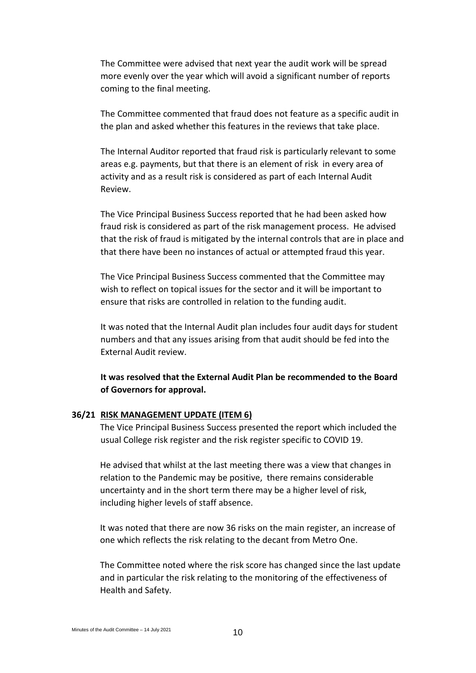The Committee were advised that next year the audit work will be spread more evenly over the year which will avoid a significant number of reports coming to the final meeting.

The Committee commented that fraud does not feature as a specific audit in the plan and asked whether this features in the reviews that take place.

The Internal Auditor reported that fraud risk is particularly relevant to some areas e.g. payments, but that there is an element of risk in every area of activity and as a result risk is considered as part of each Internal Audit Review.

The Vice Principal Business Success reported that he had been asked how fraud risk is considered as part of the risk management process. He advised that the risk of fraud is mitigated by the internal controls that are in place and that there have been no instances of actual or attempted fraud this year.

The Vice Principal Business Success commented that the Committee may wish to reflect on topical issues for the sector and it will be important to ensure that risks are controlled in relation to the funding audit.

It was noted that the Internal Audit plan includes four audit days for student numbers and that any issues arising from that audit should be fed into the External Audit review.

# **It was resolved that the External Audit Plan be recommended to the Board of Governors for approval.**

#### **36/21 RISK MANAGEMENT UPDATE (ITEM 6)**

The Vice Principal Business Success presented the report which included the usual College risk register and the risk register specific to COVID 19.

He advised that whilst at the last meeting there was a view that changes in relation to the Pandemic may be positive, there remains considerable uncertainty and in the short term there may be a higher level of risk, including higher levels of staff absence.

It was noted that there are now 36 risks on the main register, an increase of one which reflects the risk relating to the decant from Metro One.

The Committee noted where the risk score has changed since the last update and in particular the risk relating to the monitoring of the effectiveness of Health and Safety.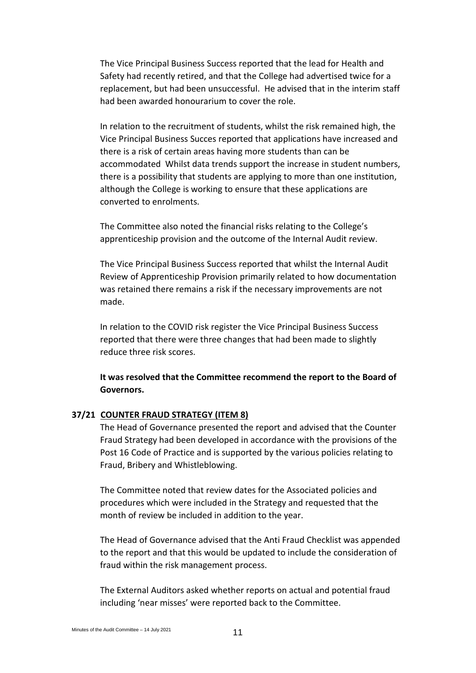The Vice Principal Business Success reported that the lead for Health and Safety had recently retired, and that the College had advertised twice for a replacement, but had been unsuccessful. He advised that in the interim staff had been awarded honourarium to cover the role.

In relation to the recruitment of students, whilst the risk remained high, the Vice Principal Business Succes reported that applications have increased and there is a risk of certain areas having more students than can be accommodated Whilst data trends support the increase in student numbers, there is a possibility that students are applying to more than one institution, although the College is working to ensure that these applications are converted to enrolments.

The Committee also noted the financial risks relating to the College's apprenticeship provision and the outcome of the Internal Audit review.

The Vice Principal Business Success reported that whilst the Internal Audit Review of Apprenticeship Provision primarily related to how documentation was retained there remains a risk if the necessary improvements are not made.

In relation to the COVID risk register the Vice Principal Business Success reported that there were three changes that had been made to slightly reduce three risk scores.

**It was resolved that the Committee recommend the report to the Board of Governors.**

# **37/21 COUNTER FRAUD STRATEGY (ITEM 8)**

The Head of Governance presented the report and advised that the Counter Fraud Strategy had been developed in accordance with the provisions of the Post 16 Code of Practice and is supported by the various policies relating to Fraud, Bribery and Whistleblowing.

The Committee noted that review dates for the Associated policies and procedures which were included in the Strategy and requested that the month of review be included in addition to the year.

The Head of Governance advised that the Anti Fraud Checklist was appended to the report and that this would be updated to include the consideration of fraud within the risk management process.

The External Auditors asked whether reports on actual and potential fraud including 'near misses' were reported back to the Committee.